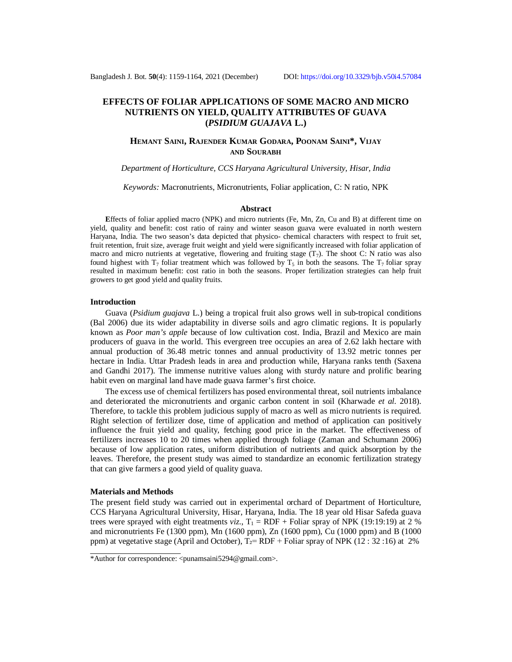# **EFFECTS OF FOLIAR APPLICATIONS OF SOME MACRO AND MICRO NUTRIENTS ON YIELD, QUALITY ATTRIBUTES OF GUAVA (***PSIDIUM GUAJAVA* **L.)**

## **HEMANT SAINI, RAJENDER KUMAR GODARA, POONAM SAINI\*, VIJAY AND SOURABH**

#### *Department of Horticulture, CCS Haryana Agricultural University, Hisar, India*

*Keywords:* Macronutrients, Micronutrients, Foliar application, C: N ratio, NPK

#### **Abstract**

**E**ffects of foliar applied macro (NPK) and micro nutrients (Fe, Mn, Zn, Cu and B) at different time on yield, quality and benefit: cost ratio of rainy and winter season guava were evaluated in north western Haryana, India. The two season's data depicted that physico- chemical characters with respect to fruit set, fruit retention, fruit size, average fruit weight and yield were significantly increased with foliar application of macro and micro nutrients at vegetative, flowering and fruiting stage  $(T_7)$ . The shoot C: N ratio was also found highest with  $T_7$  foliar treatment which was followed by  $T_5$  in both the seasons. The  $T_7$  foliar spray resulted in maximum benefit: cost ratio in both the seasons. Proper fertilization strategies can help fruit growers to get good yield and quality fruits.

#### **Introduction**

Guava (*Psidium guajava* L.) being a tropical fruit also grows well in sub-tropical conditions (Bal 2006) due its wider adaptability in diverse soils and agro climatic regions. It is popularly known as *Poor man's apple* because of low cultivation cost. India, Brazil and Mexico are main producers of guava in the world. This evergreen tree occupies an area of 2.62 lakh hectare with annual production of 36.48 metric tonnes and annual productivity of 13.92 metric tonnes per hectare in India. Uttar Pradesh leads in area and production while, Haryana ranks tenth (Saxena and Gandhi 2017). The immense nutritive values along with sturdy nature and prolific bearing habit even on marginal land have made guava farmer's first choice.

The excess use of chemical fertilizers has posed environmental threat, soil nutrients imbalance and deteriorated the micronutrients and organic carbon content in soil (Kharwade *et al.* 2018). Therefore, to tackle this problem judicious supply of macro as well as micro nutrients is required. Right selection of fertilizer dose, time of application and method of application can positively influence the fruit yield and quality, fetching good price in the market. The effectiveness of fertilizers increases 10 to 20 times when applied through foliage (Zaman and Schumann 2006) because of low application rates, uniform distribution of nutrients and quick absorption by the leaves. Therefore, the present study was aimed to standardize an economic fertilization strategy that can give farmers a good yield of quality guava.

#### **Materials and Methods**

The present field study was carried out in experimental orchard of Department of Horticulture, CCS Haryana Agricultural University, Hisar, Haryana, India. The 18 year old Hisar Safeda guava trees were sprayed with eight treatments *viz*.,  $T_1 = RDF + Foliar$  spray of NPK (19:19:19) at 2 % and micronutrients Fe (1300 ppm), Mn (1600 ppm), Zn (1600 ppm), Cu (1000 ppm) and B (1000 ppm) at vegetative stage (April and October),  $T_2 = RDF + F$ oliar spray of NPK (12 : 32 :16) at 2%

<sup>\*</sup>Author for correspondence: [<punamsaini5294@gmail.com](mailto:punamsaini5294@gmail.com)>.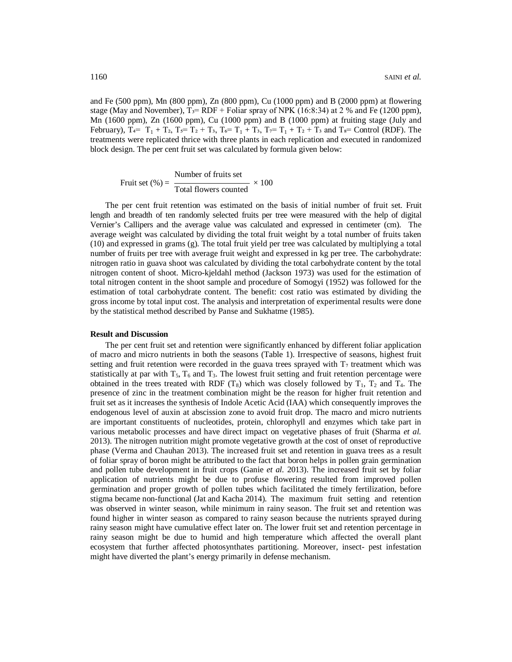and Fe (500 ppm), Mn (800 ppm), Zn (800 ppm), Cu (1000 ppm) and B (2000 ppm) at flowering stage (May and November),  $T_3 = RDF + F$ oliar spray of NPK (16:8:34) at 2 % and Fe (1200 ppm), Mn (1600 ppm), Zn (1600 ppm), Cu (1000 ppm) and B (1000 ppm) at fruiting stage (July and February),  $T_4 = T_1 + T_2$ ,  $T_5 = T_2 + T_3$ ,  $T_6 = T_1 + T_3$ ,  $T_7 = T_1 + T_2 + T_3$  and  $T_8 =$  Control (RDF). The treatments were replicated thrice with three plants in each replication and executed in randomized block design. The per cent fruit set was calculated by formula given below:

$$
Fruit set (\%) = \frac{Number of fruits set}{Total flowers counted} \times 100
$$

The per cent fruit retention was estimated on the basis of initial number of fruit set. Fruit length and breadth of ten randomly selected fruits per tree were measured with the help of digital Vernier's Callipers and the average value was calculated and expressed in centimeter (cm). The average weight was calculated by dividing the total fruit weight by a total number of fruits taken (10) and expressed in grams (g). The total fruit yield per tree was calculated by multiplying a total number of fruits per tree with average fruit weight and expressed in kg per tree. The carbohydrate: nitrogen ratio in guava shoot was calculated by dividing the total carbohydrate content by the total nitrogen content of shoot. Micro-kjeldahl method (Jackson 1973) was used for the estimation of total nitrogen content in the shoot sample and procedure of Somogyi (1952) was followed for the estimation of total carbohydrate content. The benefit: cost ratio was estimated by dividing the gross income by total input cost. The analysis and interpretation of experimental results were done by the statistical method described by Panse and Sukhatme (1985).

### **Result and Discussion**

The per cent fruit set and retention were significantly enhanced by different foliar application of macro and micro nutrients in both the seasons (Table 1). Irrespective of seasons, highest fruit setting and fruit retention were recorded in the guava trees sprayed with  $T_7$  treatment which was statistically at par with  $T_5$ ,  $T_6$  and  $T_3$ . The lowest fruit setting and fruit retention percentage were obtained in the trees treated with RDF  $(T_8)$  which was closely followed by  $T_1$ ,  $T_2$  and  $T_4$ . The presence of zinc in the treatment combination might be the reason for higher fruit retention and fruit set as it increases the synthesis of Indole Acetic Acid (IAA) which consequently improves the endogenous level of auxin at abscission zone to avoid fruit drop. The macro and micro nutrients are important constituents of nucleotides, protein, chlorophyll and enzymes which take part in various metabolic processes and have direct impact on vegetative phases of fruit (Sharma *et al.* 2013). The nitrogen nutrition might promote vegetative growth at the cost of onset of reproductive phase (Verma and Chauhan 2013). The increased fruit set and retention in guava trees as a result of foliar spray of boron might be attributed to the fact that boron helps in pollen grain germination and pollen tube development in fruit crops (Ganie *et al.* 2013). The increased fruit set by foliar application of nutrients might be due to profuse flowering resulted from improved pollen germination and proper growth of pollen tubes which facilitated the timely fertilization, before stigma became non-functional (Jat and Kacha 2014). The maximum fruit setting and retention was observed in winter season, while minimum in rainy season. The fruit set and retention was found higher in winter season as compared to rainy season because the nutrients sprayed during rainy season might have cumulative effect later on. The lower fruit set and retention percentage in rainy season might be due to humid and high temperature which affected the overall plant ecosystem that further affected photosynthates partitioning. Moreover, insect- pest infestation might have diverted the plant's energy primarily in defense mechanism.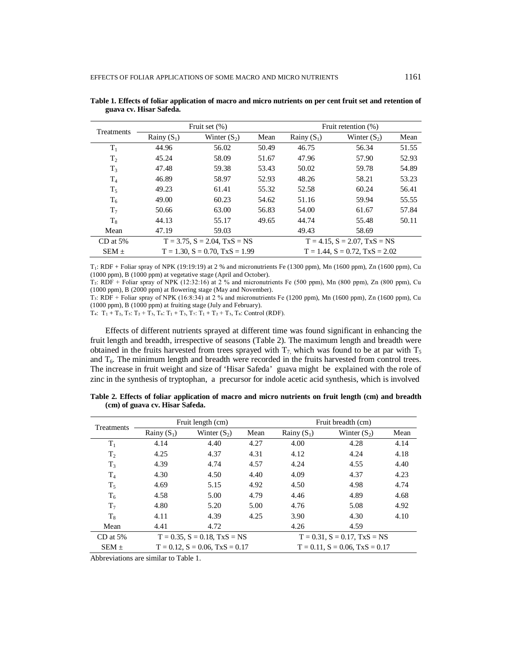| Treatments     | Fruit set $(\%)$                              |                |                                        | Fruit retention (%)                         |                |       |
|----------------|-----------------------------------------------|----------------|----------------------------------------|---------------------------------------------|----------------|-------|
|                | Rainy $(S_1)$                                 | Winter $(S_2)$ | Mean                                   | Rainy $(S_1)$                               | Winter $(S_2)$ | Mean  |
| $T_1$          | 44.96                                         | 56.02          | 50.49                                  | 46.75                                       | 56.34          | 51.55 |
| T <sub>2</sub> | 45.24                                         | 58.09          | 51.67                                  | 47.96                                       | 57.90          | 52.93 |
| T <sub>3</sub> | 47.48                                         | 59.38          | 53.43                                  | 50.02                                       | 59.78          | 54.89 |
| $\rm T_4$      | 46.89                                         | 58.97          | 52.93                                  | 48.26                                       | 58.21          | 53.23 |
| $T_5$          | 49.23                                         | 61.41          | 55.32                                  | 52.58                                       | 60.24          | 56.41 |
| $T_6$          | 49.00                                         | 60.23          | 54.62                                  | 51.16                                       | 59.94          | 55.55 |
| T <sub>7</sub> | 50.66                                         | 63.00          | 56.83                                  | 54.00                                       | 61.67          | 57.84 |
| $T_{\rm R}$    | 44.13                                         | 55.17          | 49.65                                  | 44.74                                       | 55.48          | 50.11 |
| Mean           | 47.19                                         | 59.03          |                                        | 49.43                                       | 58.69          |       |
| $CD$ at 5%     | $T = 3.75$ , $S = 2.04$ , $T \times S = NS$   |                |                                        | $T = 4.15$ , $S = 2.07$ , $T \times S = NS$ |                |       |
| $SEM \pm$      | $T = 1.30$ , $S = 0.70$ , $T \times S = 1.99$ |                | $T = 1.44$ , $S = 0.72$ , $TxS = 2.02$ |                                             |                |       |

**Table 1. Effects of foliar application of macro and micro nutrients on per cent fruit set and retention of guava cv. Hisar Safeda.**

 $T_1$ : RDF + Foliar spray of NPK (19:19:19) at 2 % and micronutrients Fe (1300 ppm), Mn (1600 ppm), Zn (1600 ppm), Cu (1000 ppm), B (1000 ppm) at vegetative stage (April and October).

 $T_2$ : RDF + Foliar spray of NPK (12:32:16) at 2 % and micronutrients Fe (500 ppm), Mn (800 ppm), Zn (800 ppm), Cu (1000 ppm), B (2000 ppm) at flowering stage (May and November).

T<sub>3</sub>: RDF + Foliar spray of NPK (16:8:34) at 2 % and micronutrients Fe (1200 ppm), Mn (1600 ppm), Zn (1600 ppm), Cu (1000 ppm), B (1000 ppm) at fruiting stage (July and February).

T4:  $T_1 + T_2$ ,  $T_5$ :  $T_2 + T_3$ ,  $T_6$ :  $T_1 + T_3$ ,  $T_7$ :  $T_1 + T_2 + T_3$ ,  $T_8$ : Control (RDF).

Effects of different nutrients sprayed at different time was found significant in enhancing the fruit length and breadth, irrespective of seasons (Table 2). The maximum length and breadth were obtained in the fruits harvested from trees sprayed with  $T_7$ , which was found to be at par with  $T_5$ and  $T<sub>6</sub>$ . The minimum length and breadth were recorded in the fruits harvested from control trees. The increase in fruit weight and size of 'Hisar Safeda' guava might be explained with the role of zinc in the synthesis of tryptophan, a precursor for indole acetic acid synthesis, which is involved

| Treatments                                                                                          | Fruit length (cm) |                                             |      | Fruit breadth (cm)                     |                                             |      |  |
|-----------------------------------------------------------------------------------------------------|-------------------|---------------------------------------------|------|----------------------------------------|---------------------------------------------|------|--|
|                                                                                                     | Rainy $(S_1)$     | Winter $(S_2)$                              | Mean | Rainy $(S_1)$                          | Winter $(S_2)$                              | Mean |  |
| $T_1$                                                                                               | 4.14              | 4.40                                        | 4.27 | 4.00                                   | 4.28                                        | 4.14 |  |
| T <sub>2</sub>                                                                                      | 4.25              | 4.37                                        | 4.31 | 4.12                                   | 4.24                                        | 4.18 |  |
| $T_3$                                                                                               | 4.39              | 4.74                                        | 4.57 | 4.24                                   | 4.55                                        | 4.40 |  |
| $T_4$                                                                                               | 4.30              | 4.50                                        | 4.40 | 4.09                                   | 4.37                                        | 4.23 |  |
| $T_5$                                                                                               | 4.69              | 5.15                                        | 4.92 | 4.50                                   | 4.98                                        | 4.74 |  |
| $T_6$                                                                                               | 4.58              | 5.00                                        | 4.79 | 4.46                                   | 4.89                                        | 4.68 |  |
| $T_7$                                                                                               | 4.80              | 5.20                                        | 5.00 | 4.76                                   | 5.08                                        | 4.92 |  |
| $T_8$                                                                                               | 4.11              | 4.39                                        | 4.25 | 3.90                                   | 4.30                                        | 4.10 |  |
| Mean                                                                                                | 4.41              | 4.72                                        |      | 4.26                                   | 4.59                                        |      |  |
| $CD$ at 5%                                                                                          |                   | $T = 0.35$ , $S = 0.18$ , $T \times S = NS$ |      |                                        | $T = 0.31$ , $S = 0.17$ , $T \times S = NS$ |      |  |
| $SEM \pm$                                                                                           |                   | $T = 0.12$ , $S = 0.06$ , $TxS = 0.17$      |      | $T = 0.11$ , $S = 0.06$ , $TxS = 0.17$ |                                             |      |  |
| $\mathbf{A}$ and $\mathbf{A}$ and $\mathbf{A}$ are the set of $\mathbf{A}$<br>$\cdots$ . m $\cdots$ |                   |                                             |      |                                        |                                             |      |  |

**Table 2. Effects of foliar application of macro and micro nutrients on fruit length (cm) and breadth (cm) of guava cv. Hisar Safeda.**

Abbreviations are similar to Table 1.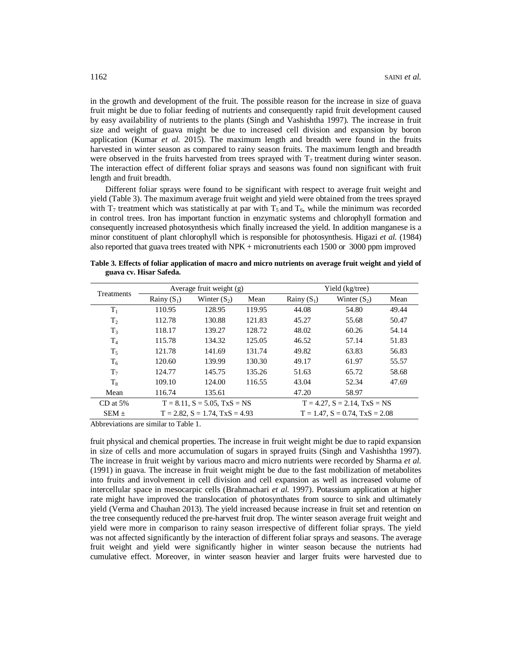in the growth and development of the fruit. The possible reason for the increase in size of guava fruit might be due to foliar feeding of nutrients and consequently rapid fruit development caused by easy availability of nutrients to the plants (Singh and Vashishtha 1997). The increase in fruit size and weight of guava might be due to increased cell division and expansion by boron application (Kumar *et al.* 2015). The maximum length and breadth were found in the fruits harvested in winter season as compared to rainy season fruits. The maximum length and breadth were observed in the fruits harvested from trees sprayed with  $T<sub>7</sub>$  treatment during winter season. The interaction effect of different foliar sprays and seasons was found non significant with fruit length and fruit breadth.

Different foliar sprays were found to be significant with respect to average fruit weight and yield (Table 3). The maximum average fruit weight and yield were obtained from the trees sprayed with  $T_7$  treatment which was statistically at par with  $T_5$  and  $T_6$ , while the minimum was recorded in control trees. Iron has important function in enzymatic systems and chlorophyll formation and consequently increased photosynthesis which finally increased the yield. In addition manganese is a minor constituent of plant chlorophyll which is responsible for photosynthesis. Higazi *et al.* (1984) also reported that guava trees treated with NPK + micronutrients each 1500 or 3000 ppm improved

|                   | guava cv. Hisar Safeda. |                            |      |                 |                |      |
|-------------------|-------------------------|----------------------------|------|-----------------|----------------|------|
| <b>Treatments</b> |                         | Average fruit weight $(g)$ |      | Yield (kg/tree) |                |      |
|                   | Rainy $(S_1)$           | Winter $(S_2)$             | Mean | Rainy $(S_1)$   | Winter $(S_2)$ | Mean |

**Table 3. Effects of foliar application of macro and micro nutrients on average fruit weight and yield of** 

| Treatments     | Average fruit weight $(g)$                    |                |                                             | Yield (kg/tree) |                |       |
|----------------|-----------------------------------------------|----------------|---------------------------------------------|-----------------|----------------|-------|
|                | Rainy $(S_1)$                                 | Winter $(S_2)$ | Mean                                        | Rainy $(S_1)$   | Winter $(S_2)$ | Mean  |
| $T_1$          | 110.95                                        | 128.95         | 119.95                                      | 44.08           | 54.80          | 49.44 |
| T <sub>2</sub> | 112.78                                        | 130.88         | 121.83                                      | 45.27           | 55.68          | 50.47 |
| $T_3$          | 118.17                                        | 139.27         | 128.72                                      | 48.02           | 60.26          | 54.14 |
| T <sub>4</sub> | 115.78                                        | 134.32         | 125.05                                      | 46.52           | 57.14          | 51.83 |
| $T_5$          | 121.78                                        | 141.69         | 131.74                                      | 49.82           | 63.83          | 56.83 |
| $T_6$          | 120.60                                        | 139.99         | 130.30                                      | 49.17           | 61.97          | 55.57 |
| T <sub>7</sub> | 124.77                                        | 145.75         | 135.26                                      | 51.63           | 65.72          | 58.68 |
| $T_8$          | 109.10                                        | 124.00         | 116.55                                      | 43.04           | 52.34          | 47.69 |
| Mean           | 116.74                                        | 135.61         |                                             | 47.20           | 58.97          |       |
| $CD$ at 5%     | $T = 8.11$ , $S = 5.05$ , $TxS = NS$          |                | $T = 4.27$ , $S = 2.14$ , $T \times S = NS$ |                 |                |       |
| $SEM \pm$      | $T = 2.82$ , $S = 1.74$ , $T \times S = 4.93$ |                | $T = 1.47$ , $S = 0.74$ , $TxS = 2.08$      |                 |                |       |

Abbreviations are similar to Table 1.

fruit physical and chemical properties. The increase in fruit weight might be due to rapid expansion in size of cells and more accumulation of sugars in sprayed fruits (Singh and Vashishtha 1997). The increase in fruit weight by various macro and micro nutrients were recorded by Sharma *et al.*  (1991) in guava. The increase in fruit weight might be due to the fast mobilization of metabolites into fruits and involvement in cell division and cell expansion as well as increased volume of intercellular space in mesocarpic cells (Brahmachari *et al.* 1997). Potassium application at higher rate might have improved the translocation of photosynthates from source to sink and ultimately yield (Verma and Chauhan 2013). The yield increased because increase in fruit set and retention on the tree consequently reduced the pre-harvest fruit drop. The winter season average fruit weight and yield were more in comparison to rainy season irrespective of different foliar sprays. The yield was not affected significantly by the interaction of different foliar sprays and seasons. The average fruit weight and yield were significantly higher in winter season because the nutrients had cumulative effect. Moreover, in winter season heavier and larger fruits were harvested due to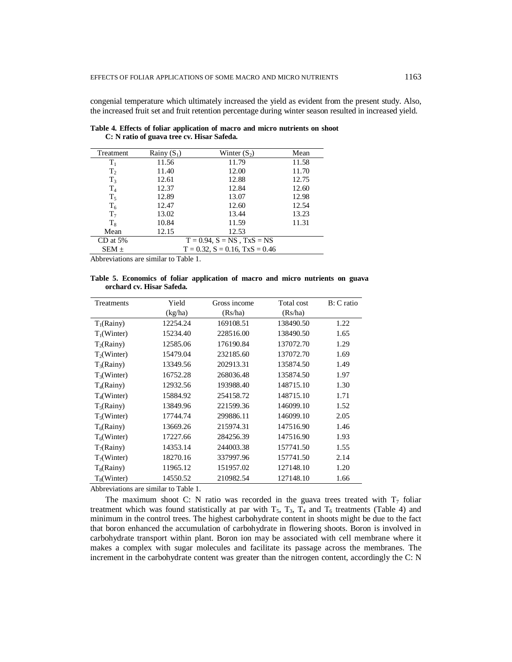congenial temperature which ultimately increased the yield as evident from the present study. Also, the increased fruit set and fruit retention percentage during winter season resulted in increased yield.

| Treatment      | Rainy $(S_1)$ | Winter $(S_2)$                         | Mean  |
|----------------|---------------|----------------------------------------|-------|
| $\rm T_1$      | 11.56         | 11.79                                  | 11.58 |
| T <sub>2</sub> | 11.40         | 12.00                                  | 11.70 |
| $T_3$          | 12.61         | 12.88                                  | 12.75 |
| T <sub>4</sub> | 12.37         | 12.84                                  | 12.60 |
| $T_5$          | 12.89         | 13.07                                  | 12.98 |
| $T_6$          | 12.47         | 12.60                                  | 12.54 |
| T <sub>7</sub> | 13.02         | 13.44                                  | 13.23 |
| $T_{\rm R}$    | 10.84         | 11.59                                  | 11.31 |
| Mean           | 12.15         | 12.53                                  |       |
| $CD$ at 5%     |               | $T = 0.94$ , $S = NS$ , $T x S = NS$   |       |
| $SEM \pm$      |               | $T = 0.32$ , $S = 0.16$ , $TxS = 0.46$ |       |
|                |               |                                        |       |

**Table 4. Effects of foliar application of macro and micro nutrients on shoot C: N ratio of guava tree cv. Hisar Safeda.**

Abbreviations are similar to Table 1.

**Table 5. Economics of foliar application of macro and micro nutrients on guava orchard cv. Hisar Safeda.**

| Treatments     | Yield    | Gross income | Total cost | $B: C$ ratio |
|----------------|----------|--------------|------------|--------------|
|                | (kg/ha)  | (Rs/ha)      | (Rs/ha)    |              |
| $T_1(Rainy)$   | 12254.24 | 169108.51    | 138490.50  | 1.22         |
| $T_1$ (Winter) | 15234.40 | 228516.00    | 138490.50  | 1.65         |
| $T_2(Rainy)$   | 12585.06 | 176190.84    | 137072.70  | 1.29         |
| $T_2$ (Winter) | 15479.04 | 232185.60    | 137072.70  | 1.69         |
| $T_3(Rainy)$   | 13349.56 | 202913.31    | 135874.50  | 1.49         |
| $T_3$ (Winter) | 16752.28 | 268036.48    | 135874.50  | 1.97         |
| $T_4$ (Rainy)  | 12932.56 | 193988.40    | 148715.10  | 1.30         |
| $T_4$ (Winter) | 15884.92 | 254158.72    | 148715.10  | 1.71         |
| $T_5(Rainy)$   | 13849.96 | 221599.36    | 146099.10  | 1.52         |
| $T_5$ (Winter) | 17744.74 | 299886.11    | 146099.10  | 2.05         |
| $T_6$ (Rainy)  | 13669.26 | 215974.31    | 147516.90  | 1.46         |
| $T_6$ (Winter) | 17227.66 | 284256.39    | 147516.90  | 1.93         |
| $T_7$ (Rainy)  | 14353.14 | 244003.38    | 157741.50  | 1.55         |
| $T_7$ (Winter) | 18270.16 | 337997.96    | 157741.50  | 2.14         |
| $T_8$ (Rainy)  | 11965.12 | 151957.02    | 127148.10  | 1.20         |
| $T_8$ (Winter) | 14550.52 | 210982.54    | 127148.10  | 1.66         |

Abbreviations are similar to Table 1.

The maximum shoot C: N ratio was recorded in the guava trees treated with  $T_7$  foliar treatment which was found statistically at par with  $T_5$ ,  $T_3$ ,  $T_4$  and  $T_6$  treatments (Table 4) and minimum in the control trees. The highest carbohydrate content in shoots might be due to the fact that boron enhanced the accumulation of carbohydrate in flowering shoots. Boron is involved in carbohydrate transport within plant. Boron ion may be associated with cell membrane where it makes a complex with sugar molecules and facilitate its passage across the membranes. The increment in the carbohydrate content was greater than the nitrogen content, accordingly the C: N